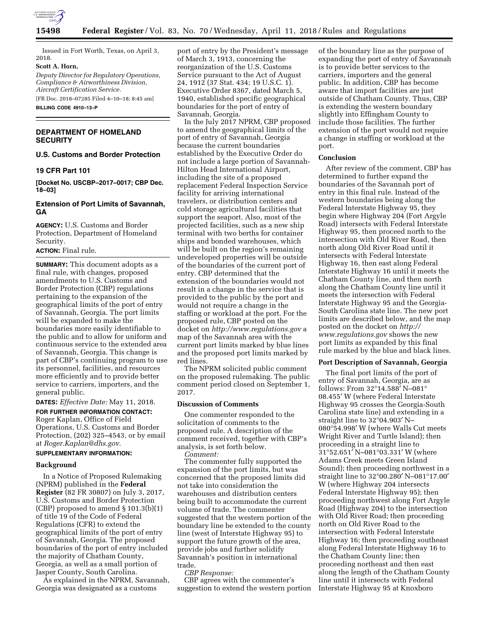

Issued in Fort Worth, Texas, on April 3, 2018.

#### **Scott A. Horn,**

*Deputy Director for Regulatory Operations, Compliance & Airworthiness Division, Aircraft Certification Service.* 

[FR Doc. 2018–07285 Filed 4–10–18; 8:45 am] **BILLING CODE 4910–13–P** 

## **DEPARTMENT OF HOMELAND SECURITY**

# **U.S. Customs and Border Protection**

### **19 CFR Part 101**

**[Docket No. USCBP–2017–0017; CBP Dec. 18–03]** 

## **Extension of Port Limits of Savannah, GA**

**AGENCY:** U.S. Customs and Border Protection, Department of Homeland Security.

## **ACTION:** Final rule.

**SUMMARY:** This document adopts as a final rule, with changes, proposed amendments to U.S. Customs and Border Protection (CBP) regulations pertaining to the expansion of the geographical limits of the port of entry of Savannah, Georgia. The port limits will be expanded to make the boundaries more easily identifiable to the public and to allow for uniform and continuous service to the extended area of Savannah, Georgia. This change is part of CBP's continuing program to use its personnel, facilities, and resources more efficiently and to provide better service to carriers, importers, and the general public.

**DATES:** *Effective Date:* May 11, 2018.

## **FOR FURTHER INFORMATION CONTACT:**  Roger Kaplan, Office of Field Operations, U.S. Customs and Border Protection, (202) 325–4543, or by email at *[Roger.Kaplan@dhs.gov](mailto:Roger.Kaplan@dhs.gov)*.

### **SUPPLEMENTARY INFORMATION:**

#### **Background**

In a Notice of Proposed Rulemaking (NPRM) published in the **Federal Register** (82 FR 30807) on July 3, 2017, U.S. Customs and Border Protection (CBP) proposed to amend § 101.3(b)(1) of title 19 of the Code of Federal Regulations (CFR) to extend the geographical limits of the port of entry of Savannah, Georgia. The proposed boundaries of the port of entry included the majority of Chatham County, Georgia, as well as a small portion of Jasper County, South Carolina.

As explained in the NPRM, Savannah, Georgia was designated as a customs

port of entry by the President's message of March 3, 1913, concerning the reorganization of the U.S. Customs Service pursuant to the Act of August 24, 1912 (37 Stat. 434; 19 U.S.C. 1). Executive Order 8367, dated March 5, 1940, established specific geographical boundaries for the port of entry of Savannah, Georgia.

In the July 2017 NPRM, CBP proposed to amend the geographical limits of the port of entry of Savannah, Georgia because the current boundaries established by the Executive Order do not include a large portion of Savannah-Hilton Head International Airport, including the site of a proposed replacement Federal Inspection Service facility for arriving international travelers, or distribution centers and cold storage agricultural facilities that support the seaport. Also, most of the projected facilities, such as a new ship terminal with two berths for container ships and bonded warehouses, which will be built on the region's remaining undeveloped properties will be outside of the boundaries of the current port of entry. CBP determined that the extension of the boundaries would not result in a change in the service that is provided to the public by the port and would not require a change in the staffing or workload at the port. For the proposed rule, CBP posted on the docket on *<http://www.regulations.gov>* a map of the Savannah area with the current port limits marked by blue lines and the proposed port limits marked by red lines.

The NPRM solicited public comment on the proposed rulemaking. The public comment period closed on September 1, 2017.

#### **Discussion of Comments**

One commenter responded to the solicitation of comments to the proposed rule. A description of the comment received, together with CBP's analysis, is set forth below.

*Comment:* 

The commenter fully supported the expansion of the port limits, but was concerned that the proposed limits did not take into consideration the warehouses and distribution centers being built to accommodate the current volume of trade. The commenter suggested that the western portion of the boundary line be extended to the county line (west of Interstate Highway 95) to support the future growth of the area, provide jobs and further solidify Savannah's position in international trade.

## *CBP Response:*

CBP agrees with the commenter's suggestion to extend the western portion of the boundary line as the purpose of expanding the port of entry of Savannah is to provide better services to the carriers, importers and the general public. In addition, CBP has become aware that import facilities are just outside of Chatham County. Thus, CBP is extending the western boundary slightly into Effingham County to include those facilities. The further extension of the port would not require a change in staffing or workload at the port.

#### **Conclusion**

After review of the comment, CBP has determined to further expand the boundaries of the Savannah port of entry in this final rule. Instead of the western boundaries being along the Federal Interstate Highway 95, they begin where Highway 204 (Fort Argyle Road) intersects with Federal Interstate Highway 95, then proceed north to the intersection with Old River Road, then north along Old River Road until it intersects with Federal Interstate Highway 16, then east along Federal Interstate Highway 16 until it meets the Chatham County line, and then north along the Chatham County line until it meets the intersection with Federal Interstate Highway 95 and the Georgia-South Carolina state line. The new port limits are described below, and the map posted on the docket on *[http://](http://www.regulations.gov) [www.regulations.gov](http://www.regulations.gov)* shows the new port limits as expanded by this final rule marked by the blue and black lines.

#### **Port Description of Savannah, Georgia**

The final port limits of the port of entry of Savannah, Georgia, are as follows: From 32°14.588′ N–081° 08.455′ W (where Federal Interstate Highway 95 crosses the Georgia-South Carolina state line) and extending in a straight line to 32°04.903′ N– 080°54.998′ W (where Walls Cut meets Wright River and Turtle Island); then proceeding in a straight line to 31°52.651′ N–081°03.331′ W (where Adams Creek meets Green Island Sound); then proceeding northwest in a straight line to 32°00.280′ N–081°17.00′ W (where Highway 204 intersects Federal Interstate Highway 95); then proceeding northwest along Fort Argyle Road (Highway 204) to the intersection with Old River Road; then proceeding north on Old River Road to the intersection with Federal Interstate Highway 16; then proceeding southeast along Federal Interstate Highway 16 to the Chatham County line; then proceeding northeast and then east along the length of the Chatham County line until it intersects with Federal Interstate Highway 95 at Knoxboro